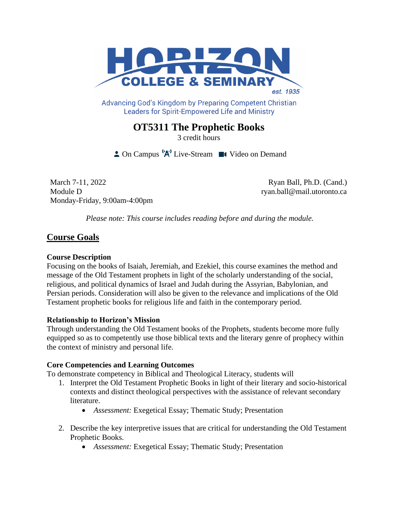

Advancing God's Kingdom by Preparing Competent Christian **Leaders for Spirit-Empowered Life and Ministry** 

# **OT5311 The Prophetic Books**

3 credit hours

 $\triangle$  On Campus  $^1A^1$  Live-Stream  $\blacksquare$  Video on Demand

March 7-11, 2022 Ryan Ball, Ph.D. (Cand.) Module D ryan.ball@mail.utoronto.ca Monday-Friday, 9:00am-4:00pm

*Please note: This course includes reading before and during the module.*

## **Course Goals**

## **Course Description**

Focusing on the books of Isaiah, Jeremiah, and Ezekiel, this course examines the method and message of the Old Testament prophets in light of the scholarly understanding of the social, religious, and political dynamics of Israel and Judah during the Assyrian, Babylonian, and Persian periods. Consideration will also be given to the relevance and implications of the Old Testament prophetic books for religious life and faith in the contemporary period.

### **Relationship to Horizon's Mission**

Through understanding the Old Testament books of the Prophets, students become more fully equipped so as to competently use those biblical texts and the literary genre of prophecy within the context of ministry and personal life.

### **Core Competencies and Learning Outcomes**

To demonstrate competency in Biblical and Theological Literacy, students will

- 1. Interpret the Old Testament Prophetic Books in light of their literary and socio-historical contexts and distinct theological perspectives with the assistance of relevant secondary literature.
	- *Assessment:* Exegetical Essay; Thematic Study; Presentation
- 2. Describe the key interpretive issues that are critical for understanding the Old Testament Prophetic Books.
	- *Assessment:* Exegetical Essay; Thematic Study; Presentation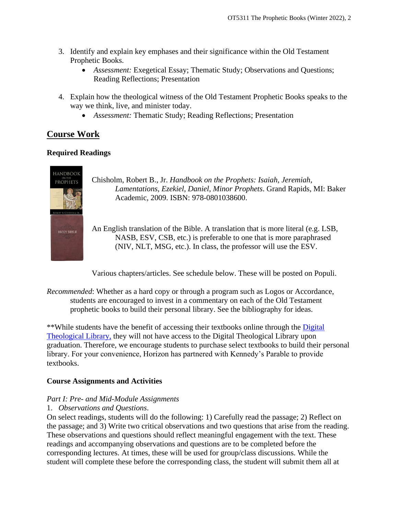- 3. Identify and explain key emphases and their significance within the Old Testament Prophetic Books.
	- *Assessment:* Exegetical Essay; Thematic Study; Observations and Questions; Reading Reflections; Presentation
- 4. Explain how the theological witness of the Old Testament Prophetic Books speaks to the way we think, live, and minister today.
	- *Assessment:* Thematic Study; Reading Reflections; Presentation

## **Course Work**

## **Required Readings**



Chisholm, Robert B., Jr. *Handbook on the Prophets: Isaiah, Jeremiah, Lamentations, Ezekiel, Daniel, Minor Prophets*. Grand Rapids, MI: Baker Academic, 2009. ISBN: 978-0801038600.

An English translation of the Bible. A translation that is more literal (e.g. LSB, NASB, ESV, CSB, etc.) is preferable to one that is more paraphrased (NIV, NLT, MSG, etc.). In class, the professor will use the ESV.

Various chapters/articles. See schedule below. These will be posted on Populi.

*Recommended*: Whether as a hard copy or through a program such as Logos or Accordance, students are encouraged to invest in a commentary on each of the Old Testament prophetic books to build their personal library. See the bibliography for ideas.

\*\*While students have the benefit of accessing their textbooks online through the [Digital](https://saskatoon.mlasolutions.com/m5/catalog/(S(3h21syce2tpjqj0wea2rbnzr))/Default.aspx?installation=HRZN)  [Theological Library,](https://saskatoon.mlasolutions.com/m5/catalog/(S(3h21syce2tpjqj0wea2rbnzr))/Default.aspx?installation=HRZN) they will not have access to the Digital Theological Library upon graduation. Therefore, we encourage students to purchase select textbooks to build their personal library. For your convenience, Horizon has partnered with Kennedy's Parable to provide textbooks.

## **Course Assignments and Activities**

## *Part I: Pre- and Mid-Module Assignments*

### 1. *Observations and Questions*.

On select readings, students will do the following: 1) Carefully read the passage; 2) Reflect on the passage; and 3) Write two critical observations and two questions that arise from the reading. These observations and questions should reflect meaningful engagement with the text. These readings and accompanying observations and questions are to be completed before the corresponding lectures. At times, these will be used for group/class discussions. While the student will complete these before the corresponding class, the student will submit them all at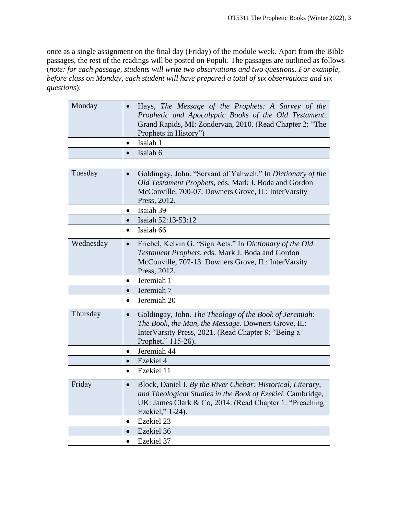once as a single assignment on the final day (Friday) of the module week. Apart from the Bible passages, the rest of the readings will be posted on Populi. The passages are outlined as follows (*note: for each passage, students will write two observations and two questions. For example, before class on Monday, each student will have prepared a total of six observations and six questions*):

| Monday    | Hays, The Message of the Prophets: A Survey of the<br>Prophetic and Apocalyptic Books of the Old Testament.<br>Grand Rapids, MI: Zondervan, 2010. (Read Chapter 2: "The<br>Prophets in History")                      |
|-----------|-----------------------------------------------------------------------------------------------------------------------------------------------------------------------------------------------------------------------|
|           | Isaiah 1<br>$\bullet$                                                                                                                                                                                                 |
|           | Isaiah 6<br>$\bullet$                                                                                                                                                                                                 |
|           |                                                                                                                                                                                                                       |
| Tuesday   | Goldingay, John. "Servant of Yahweh." In Dictionary of the<br>$\bullet$<br>Old Testament Prophets, eds. Mark J. Boda and Gordon<br>McConville, 700-07. Downers Grove, IL: InterVarsity<br>Press, 2012.                |
|           | Isaiah 39                                                                                                                                                                                                             |
|           | Isaiah 52:13-53:12                                                                                                                                                                                                    |
|           | Isaiah 66<br>$\bullet$                                                                                                                                                                                                |
| Wednesday | Friebel, Kelvin G. "Sign Acts." In Dictionary of the Old<br>$\bullet$<br>Testament Prophets, eds. Mark J. Boda and Gordon<br>McConville, 707-13. Downers Grove, IL: InterVarsity<br>Press, 2012.                      |
|           | Jeremiah 1                                                                                                                                                                                                            |
|           | Jeremiah 7<br>$\bullet$                                                                                                                                                                                               |
|           | Jeremiah 20<br>$\bullet$                                                                                                                                                                                              |
| Thursday  | Goldingay, John. The Theology of the Book of Jeremiah:<br>$\bullet$<br>The Book, the Man, the Message. Downers Grove, IL:<br>InterVarsity Press, 2021. (Read Chapter 8: "Being a<br>Prophet," 115-26).                |
|           | Jeremiah 44<br>$\bullet$                                                                                                                                                                                              |
|           | Ezekiel 4<br>$\bullet$                                                                                                                                                                                                |
|           | Ezekiel 11<br>$\bullet$                                                                                                                                                                                               |
| Friday    | Block, Daniel I. By the River Chebar: Historical, Literary,<br>$\bullet$<br>and Theological Studies in the Book of Ezekiel. Cambridge,<br>UK: James Clark & Co, 2014. (Read Chapter 1: "Preaching<br>Ezekiel," 1-24). |
|           | Ezekiel 23<br>$\bullet$                                                                                                                                                                                               |
|           | Ezekiel 36<br>$\bullet$                                                                                                                                                                                               |
|           | Ezekiel 37<br>$\bullet$                                                                                                                                                                                               |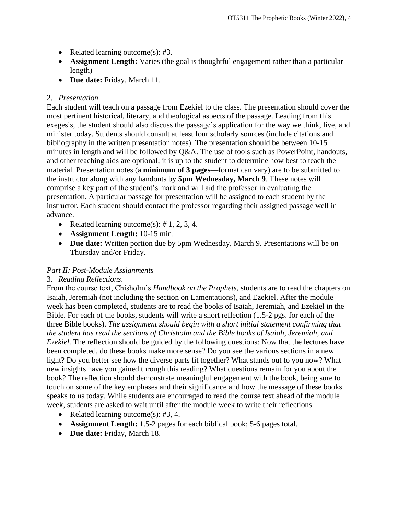- Related learning outcome(s): #3.
- **Assignment Length:** Varies (the goal is thoughtful engagement rather than a particular length)
- **Due date:** Friday, March 11.

## 2. *Presentation*.

Each student will teach on a passage from Ezekiel to the class. The presentation should cover the most pertinent historical, literary, and theological aspects of the passage. Leading from this exegesis, the student should also discuss the passage's application for the way we think, live, and minister today. Students should consult at least four scholarly sources (include citations and bibliography in the written presentation notes). The presentation should be between 10-15 minutes in length and will be followed by Q&A. The use of tools such as PowerPoint, handouts, and other teaching aids are optional; it is up to the student to determine how best to teach the material. Presentation notes (a **minimum of 3 pages**—format can vary) are to be submitted to the instructor along with any handouts by **5pm Wednesday, March 9**. These notes will comprise a key part of the student's mark and will aid the professor in evaluating the presentation. A particular passage for presentation will be assigned to each student by the instructor. Each student should contact the professor regarding their assigned passage well in advance.

- Related learning outcome(s): *#* 1, 2, 3, 4.
- **Assignment Length:** 10-15 min.
- **Due date:** Written portion due by 5pm Wednesday, March 9. Presentations will be on Thursday and/or Friday.

### *Part II: Post-Module Assignments*

## 3. *Reading Reflections*.

From the course text, Chisholm's *Handbook on the Prophets*, students are to read the chapters on Isaiah, Jeremiah (not including the section on Lamentations), and Ezekiel. After the module week has been completed, students are to read the books of Isaiah, Jeremiah, and Ezekiel in the Bible. For each of the books, students will write a short reflection (1.5-2 pgs. for each of the three Bible books). *The assignment should begin with a short initial statement confirming that the student has read the sections of Chrisholm and the Bible books of Isaiah, Jeremiah, and Ezekiel*. The reflection should be guided by the following questions: Now that the lectures have been completed, do these books make more sense? Do you see the various sections in a new light? Do you better see how the diverse parts fit together? What stands out to you now? What new insights have you gained through this reading? What questions remain for you about the book? The reflection should demonstrate meaningful engagement with the book, being sure to touch on some of the key emphases and their significance and how the message of these books speaks to us today. While students are encouraged to read the course text ahead of the module week, students are asked to wait until after the module week to write their reflections.

- Related learning outcome(s): #3, 4.
- **Assignment Length:** 1.5-2 pages for each biblical book; 5-6 pages total.
- **Due date:** Friday, March 18.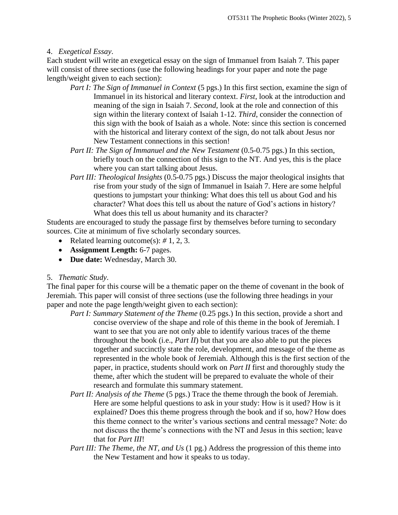### 4. *Exegetical Essay*.

Each student will write an exegetical essay on the sign of Immanuel from Isaiah 7. This paper will consist of three sections (use the following headings for your paper and note the page length/weight given to each section):

- *Part I: The Sign of Immanuel in Context* (5 pgs.) In this first section, examine the sign of Immanuel in its historical and literary context. *First*, look at the introduction and meaning of the sign in Isaiah 7. *Second*, look at the role and connection of this sign within the literary context of Isaiah 1-12. *Third*, consider the connection of this sign with the book of Isaiah as a whole. Note: since this section is concerned with the historical and literary context of the sign, do not talk about Jesus nor New Testament connections in this section!
- *Part II: The Sign of Immanuel and the New Testament* (0.5-0.75 pgs.) In this section, briefly touch on the connection of this sign to the NT. And yes, this is the place where you can start talking about Jesus.
- *Part III: Theological Insights* (0.5-0.75 pgs.) Discuss the major theological insights that rise from your study of the sign of Immanuel in Isaiah 7. Here are some helpful questions to jumpstart your thinking: What does this tell us about God and his character? What does this tell us about the nature of God's actions in history? What does this tell us about humanity and its character?

Students are encouraged to study the passage first by themselves before turning to secondary sources. Cite at minimum of five scholarly secondary sources.

- Related learning outcome(s): *#* 1, 2, 3.
- **Assignment Length:** 6-7 pages.
- **Due date:** Wednesday, March 30.

### 5. *Thematic Study*.

The final paper for this course will be a thematic paper on the theme of covenant in the book of Jeremiah. This paper will consist of three sections (use the following three headings in your paper and note the page length/weight given to each section):

- *Part I: Summary Statement of the Theme* (0.25 pgs.) In this section, provide a short and concise overview of the shape and role of this theme in the book of Jeremiah. I want to see that you are not only able to identify various traces of the theme throughout the book (i.e., *Part II*) but that you are also able to put the pieces together and succinctly state the role, development, and message of the theme as represented in the whole book of Jeremiah. Although this is the first section of the paper, in practice, students should work on *Part II* first and thoroughly study the theme, after which the student will be prepared to evaluate the whole of their research and formulate this summary statement.
- *Part II: Analysis of the Theme* (5 pgs.) Trace the theme through the book of Jeremiah. Here are some helpful questions to ask in your study: How is it used? How is it explained? Does this theme progress through the book and if so, how? How does this theme connect to the writer's various sections and central message? Note: do not discuss the theme's connections with the NT and Jesus in this section; leave that for *Part III*!
- *Part III: The Theme, the NT, and Us* (1 pg.) Address the progression of this theme into the New Testament and how it speaks to us today.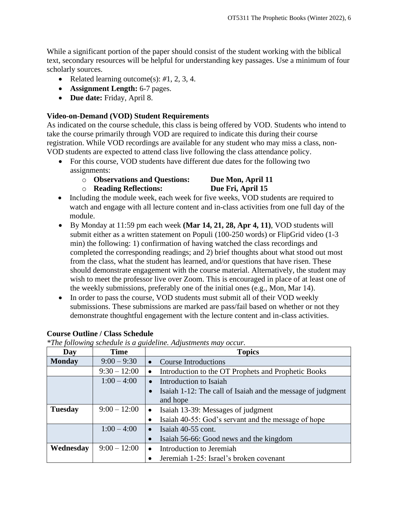While a significant portion of the paper should consist of the student working with the biblical text, secondary resources will be helpful for understanding key passages. Use a minimum of four scholarly sources.

- Related learning outcome(s): *#*1, 2, 3, 4.
- **Assignment Length:** 6-7 pages.
- **Due date:** Friday, April 8.

### **Video-on-Demand (VOD) Student Requirements**

As indicated on the course schedule, this class is being offered by VOD. Students who intend to take the course primarily through VOD are required to indicate this during their course registration. While VOD recordings are available for any student who may miss a class, non-VOD students are expected to attend class live following the class attendance policy.

- For this course, VOD students have different due dates for the following two assignments:
	- o **Observations and Questions: Due Mon, April 11**

## o **Reading Reflections: Due Fri, April 15**

- Including the module week, each week for five weeks, VOD students are required to watch and engage with all lecture content and in-class activities from one full day of the module.
- By Monday at 11:59 pm each week **(Mar 14, 21, 28, Apr 4, 11)**, VOD students will submit either as a written statement on Populi (100-250 words) or FlipGrid video (1-3 min) the following: 1) confirmation of having watched the class recordings and completed the corresponding readings; and 2) brief thoughts about what stood out most from the class, what the student has learned, and/or questions that have risen. These should demonstrate engagement with the course material. Alternatively, the student may wish to meet the professor live over Zoom. This is encouraged in place of at least one of the weekly submissions, preferably one of the initial ones (e.g., Mon, Mar 14).
- In order to pass the course, VOD students must submit all of their VOD weekly submissions. These submissions are marked are pass/fail based on whether or not they demonstrate thoughtful engagement with the lecture content and in-class activities.

| Day            | <b>Time</b>    | <b>Topics</b>                                                    |  |
|----------------|----------------|------------------------------------------------------------------|--|
| <b>Monday</b>  | $9:00 - 9:30$  | • Course Introductions                                           |  |
|                | $9:30 - 12:00$ | Introduction to the OT Prophets and Prophetic Books<br>$\bullet$ |  |
|                | $1:00 - 4:00$  | Introduction to Isaiah<br>$\bullet$                              |  |
|                |                | Isaiah 1-12: The call of Isaiah and the message of judgment      |  |
|                |                | and hope                                                         |  |
| <b>Tuesday</b> | $9:00 - 12:00$ | • Isaiah 13-39: Messages of judgment                             |  |
|                |                | Isaiah 40-55: God's servant and the message of hope<br>$\bullet$ |  |
|                | $1:00 - 4:00$  | Isaiah 40-55 cont.<br>$\bullet$                                  |  |
|                |                | Isaiah 56-66: Good news and the kingdom                          |  |
| Wednesday      | $9:00 - 12:00$ | Introduction to Jeremiah<br>$\bullet$                            |  |
|                |                | Jeremiah 1-25: Israel's broken covenant                          |  |

### **Course Outline / Class Schedule**

*\*The following schedule is a guideline. Adjustments may occur.*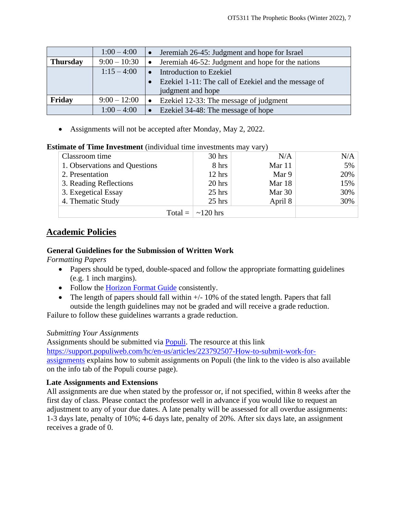|                 | $1:00 - 4:00$  | Jeremiah 26-45: Judgment and hope for Israel<br>$\bullet$ |  |  |
|-----------------|----------------|-----------------------------------------------------------|--|--|
| <b>Thursday</b> | $9:00 - 10:30$ | Jeremiah 46-52: Judgment and hope for the nations         |  |  |
|                 | $1:15 - 4:00$  | Introduction to Ezekiel                                   |  |  |
|                 |                | Ezekiel 1-11: The call of Ezekiel and the message of      |  |  |
|                 |                | judgment and hope                                         |  |  |
| Friday          | $9:00 - 12:00$ | Ezekiel 12-33: The message of judgment                    |  |  |
|                 | $1:00 - 4:00$  | Ezekiel 34-48: The message of hope                        |  |  |

• Assignments will not be accepted after Monday, May 2, 2022.

### **Estimate of Time Investment** (individual time investments may vary)

|                               |                              | $\cdot$ $\cdot$ |     |
|-------------------------------|------------------------------|-----------------|-----|
| Classroom time                | $30$ hrs                     | N/A             | N/A |
| 1. Observations and Questions | 8 hrs                        | Mar 11          | 5%  |
| 2. Presentation               | 12 hrs                       | Mar 9           | 20% |
| 3. Reading Reflections        | 20 hrs                       | Mar 18          | 15% |
| 3. Exegetical Essay           | $25$ hrs                     | Mar 30          | 30% |
| 4. Thematic Study             | $25$ hrs                     | April 8         | 30% |
|                               | Total = $\vert \sim 120$ hrs |                 |     |

## **Academic Policies**

## **General Guidelines for the Submission of Written Work**

*Formatting Papers* 

- Papers should be typed, double-spaced and follow the appropriate formatting guidelines (e.g. 1 inch margins).
- Follow the [Horizon Format Guide](https://www.horizon.edu/students/resources/) consistently.
- The length of papers should fall within  $+/-10\%$  of the stated length. Papers that fall outside the length guidelines may not be graded and will receive a grade reduction.

Failure to follow these guidelines warrants a grade reduction.

## *Submitting Your Assignments*

Assignments should be submitted via **Populi**. The resource at this link [https://support.populiweb.com/hc/en-us/articles/223792507-How-to-submit-work-for](https://support.populiweb.com/hc/en-us/articles/223792507-How-to-submit-work-for-assignments)[assignments](https://support.populiweb.com/hc/en-us/articles/223792507-How-to-submit-work-for-assignments) explains how to submit assignments on Populi (the link to the video is also available on the info tab of the Populi course page).

## **Late Assignments and Extensions**

All assignments are due when stated by the professor or, if not specified, within 8 weeks after the first day of class. Please contact the professor well in advance if you would like to request an adjustment to any of your due dates. A late penalty will be assessed for all overdue assignments: 1-3 days late, penalty of 10%; 4-6 days late, penalty of 20%. After six days late, an assignment receives a grade of 0.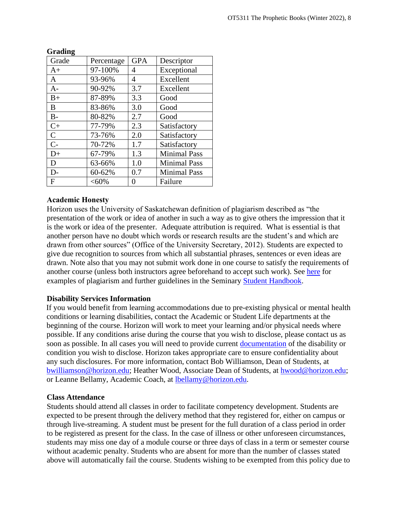| Grade        | Percentage | <b>GPA</b> | Descriptor          |
|--------------|------------|------------|---------------------|
| $A+$         | 97-100%    | 4          | Exceptional         |
| A            | 93-96%     | 4          | Excellent           |
| $A-$         | 90-92%     | 3.7        | Excellent           |
| $B+$         | 87-89%     | 3.3        | Good                |
| B            | 83-86%     | 3.0        | Good                |
| $B -$        | 80-82%     | 2.7        | Good                |
| $C+$         | 77-79%     | 2.3        | Satisfactory        |
| $\mathsf{C}$ | 73-76%     | 2.0        | Satisfactory        |
| $C-$         | 70-72%     | 1.7        | Satisfactory        |
| $D+$         | 67-79%     | 1.3        | <b>Minimal Pass</b> |
| D            | 63-66%     | 1.0        | <b>Minimal Pass</b> |
| D-           | 60-62%     | 0.7        | <b>Minimal Pass</b> |
| F            | $<,60\%$   |            | Failure             |

### **Grading**

### **Academic Honesty**

Horizon uses the University of Saskatchewan definition of plagiarism described as "the presentation of the work or idea of another in such a way as to give others the impression that it is the work or idea of the presenter. Adequate attribution is required. What is essential is that another person have no doubt which words or research results are the student's and which are drawn from other sources" (Office of the University Secretary, 2012). Students are expected to give due recognition to sources from which all substantial phrases, sentences or even ideas are drawn. Note also that you may not submit work done in one course to satisfy the requirements of another course (unless both instructors agree beforehand to accept such work). See [here](http://www.turnitin.com/assets/en_us/media/plagiarism_spectrum.php) for examples of plagiarism and further guidelines in the Seminary [Student Handbook.](https://www.horizon.edu/students/resources/)

### **Disability Services Information**

If you would benefit from learning accommodations due to pre-existing physical or mental health conditions or learning disabilities, contact the Academic or Student Life departments at the beginning of the course. Horizon will work to meet your learning and/or physical needs where possible. If any conditions arise during the course that you wish to disclose, please contact us as soon as possible. In all cases you will need to provide current [documentation](https://www.horizon.edu/students/support/) of the disability or condition you wish to disclose. Horizon takes appropriate care to ensure confidentiality about any such disclosures. For more information, contact Bob Williamson, Dean of Students, at [bwilliamson@horizon.edu;](mailto:bwilliamson@horizon.edu) Heather Wood, Associate Dean of Students, at [hwood@horizon.edu;](mailto:hwood@horizon.edu) or Leanne Bellamy, Academic Coach, at [lbellamy@horizon.edu.](mailto:lbellamy@horizon.edu)

### **Class Attendance**

Students should attend all classes in order to facilitate competency development. Students are expected to be present through the delivery method that they registered for, either on campus or through live-streaming. A student must be present for the full duration of a class period in order to be registered as present for the class. In the case of illness or other unforeseen circumstances, students may miss one day of a module course or three days of class in a term or semester course without academic penalty. Students who are absent for more than the number of classes stated above will automatically fail the course. Students wishing to be exempted from this policy due to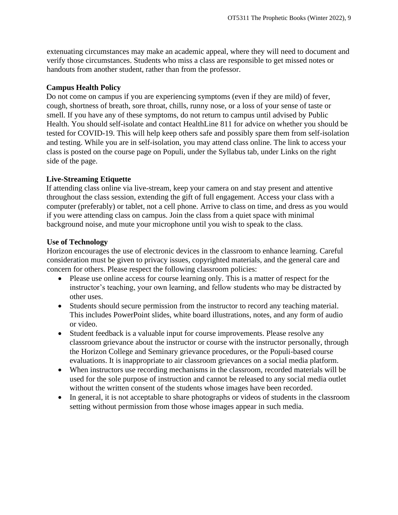extenuating circumstances may make an academic appeal, where they will need to document and verify those circumstances. Students who miss a class are responsible to get missed notes or handouts from another student, rather than from the professor.

### **Campus Health Policy**

Do not come on campus if you are experiencing symptoms (even if they are mild) of fever, cough, shortness of breath, sore throat, chills, runny nose, or a loss of your sense of taste or smell. If you have any of these symptoms, do not return to campus until advised by Public Health. You should self-isolate and contact HealthLine 811 for advice on whether you should be tested for COVID-19. This will help keep others safe and possibly spare them from self-isolation and testing. While you are in self-isolation, you may attend class online. The link to access your class is posted on the course page on Populi, under the Syllabus tab, under Links on the right side of the page.

## **Live-Streaming Etiquette**

If attending class online via live-stream, keep your camera on and stay present and attentive throughout the class session, extending the gift of full engagement. Access your class with a computer (preferably) or tablet, not a cell phone. Arrive to class on time, and dress as you would if you were attending class on campus. Join the class from a quiet space with minimal background noise, and mute your microphone until you wish to speak to the class.

## **Use of Technology**

Horizon encourages the use of electronic devices in the classroom to enhance learning. Careful consideration must be given to privacy issues, copyrighted materials, and the general care and concern for others. Please respect the following classroom policies:

- Please use online access for course learning only. This is a matter of respect for the instructor's teaching, your own learning, and fellow students who may be distracted by other uses.
- Students should secure permission from the instructor to record any teaching material. This includes PowerPoint slides, white board illustrations, notes, and any form of audio or video.
- Student feedback is a valuable input for course improvements. Please resolve any classroom grievance about the instructor or course with the instructor personally, through the Horizon College and Seminary grievance procedures, or the Populi-based course evaluations. It is inappropriate to air classroom grievances on a social media platform.
- When instructors use recording mechanisms in the classroom, recorded materials will be used for the sole purpose of instruction and cannot be released to any social media outlet without the written consent of the students whose images have been recorded.
- In general, it is not acceptable to share photographs or videos of students in the classroom setting without permission from those whose images appear in such media.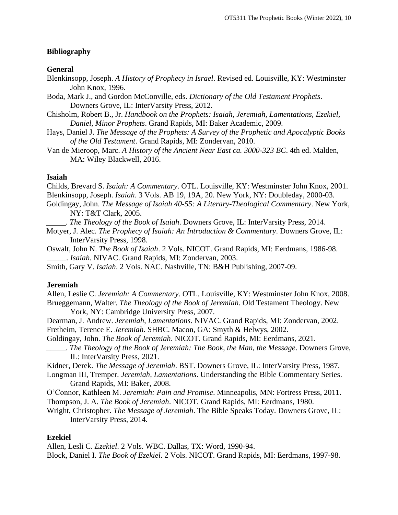### **Bibliography**

#### **General**

- Blenkinsopp, Joseph. *A History of Prophecy in Israel*. Revised ed. Louisville, KY: Westminster John Knox, 1996.
- Boda, Mark J., and Gordon McConville, eds. *Dictionary of the Old Testament Prophets*. Downers Grove, IL: InterVarsity Press, 2012.
- Chisholm, Robert B., Jr. *Handbook on the Prophets: Isaiah, Jeremiah, Lamentations, Ezekiel, Daniel, Minor Prophets*. Grand Rapids, MI: Baker Academic, 2009.
- Hays, Daniel J. *The Message of the Prophets: A Survey of the Prophetic and Apocalyptic Books of the Old Testament*. Grand Rapids, MI: Zondervan, 2010.
- Van de Mieroop, Marc. *A History of the Ancient Near East ca. 3000-323 BC*. 4th ed. Malden, MA: Wiley Blackwell, 2016.

### **Isaiah**

Childs, Brevard S. *Isaiah: A Commentary*. OTL. Louisville, KY: Westminster John Knox, 2001. Blenkinsopp, Joseph. *Isaiah*. 3 Vols. AB 19, 19A, 20. New York, NY: Doubleday, 2000-03.

- Goldingay, John. *The Message of Isaiah 40-55: A Literary-Theological Commentary*. New York, NY: T&T Clark, 2005.
	- \_\_\_\_\_. *The Theology of the Book of Isaiah*. Downers Grove, IL: InterVarsity Press, 2014.
- Motyer, J. Alec. *The Prophecy of Isaiah: An Introduction & Commentary*. Downers Grove, IL: InterVarsity Press, 1998.
- Oswalt, John N. *The Book of Isaiah*. 2 Vols. NICOT. Grand Rapids, MI: Eerdmans, 1986-98. \_\_\_\_\_. *Isaiah*. NIVAC. Grand Rapids, MI: Zondervan, 2003.

Smith, Gary V. *Isaiah*. 2 Vols. NAC. Nashville, TN: B&H Publishing, 2007-09.

#### **Jeremiah**

Allen, Leslie C. *Jeremiah: A Commentary*. OTL. Louisville, KY: Westminster John Knox, 2008. Brueggemann, Walter. *The Theology of the Book of Jeremiah*. Old Testament Theology. New York, NY: Cambridge University Press, 2007.

Dearman, J. Andrew. *Jeremiah, Lamentations*. NIVAC. Grand Rapids, MI: Zondervan, 2002. Fretheim, Terence E. *Jeremiah*. SHBC. Macon, GA: Smyth & Helwys, 2002.

Goldingay, John. *The Book of Jeremiah*. NICOT. Grand Rapids, MI: Eerdmans, 2021.

- \_\_\_\_\_. *The Theology of the Book of Jeremiah: The Book, the Man, the Message*. Downers Grove, IL: InterVarsity Press, 2021.
- Kidner, Derek. *The Message of Jeremiah*. BST. Downers Grove, IL: InterVarsity Press, 1987.
- Longman III, Tremper. *Jeremiah, Lamentations*. Understanding the Bible Commentary Series. Grand Rapids, MI: Baker, 2008.
- O'Connor, Kathleen M. *Jeremiah: Pain and Promise*. Minneapolis, MN: Fortress Press, 2011. Thompson, J. A. *The Book of Jeremiah*. NICOT. Grand Rapids, MI: Eerdmans, 1980.
- Wright, Christopher. *The Message of Jeremiah*. The Bible Speaks Today. Downers Grove, IL: InterVarsity Press, 2014.

### **Ezekiel**

Allen, Lesli C. *Ezekiel*. 2 Vols. WBC. Dallas, TX: Word, 1990-94.

Block, Daniel I. *The Book of Ezekiel*. 2 Vols. NICOT. Grand Rapids, MI: Eerdmans, 1997-98.